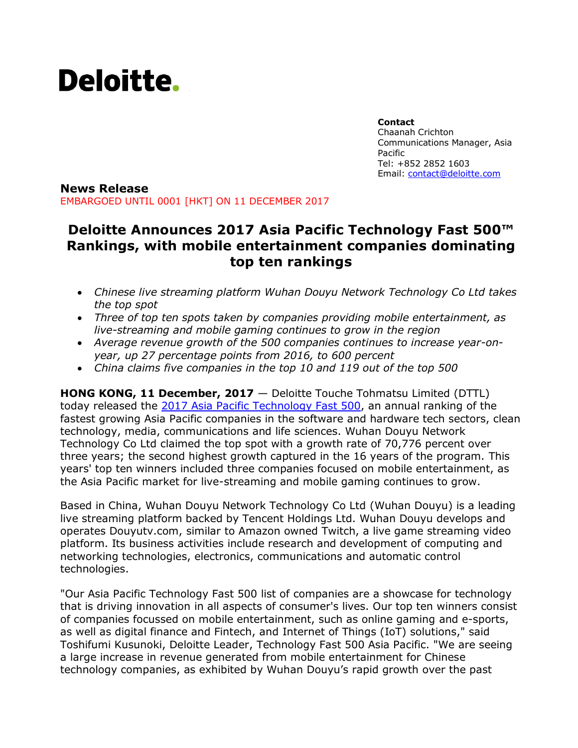

**Contact** Chaanah Crichton Communications Manager, Asia Pacific Tel: +852 2852 1603 Email: [contact@deloitte.com](mailto:contact@deloitte.com)

#### **News Release** EMBARGOED UNTIL 0001 [HKT] ON 11 DECEMBER 2017

# **Deloitte Announces 2017 Asia Pacific Technology Fast 500™ Rankings, with mobile entertainment companies dominating top ten rankings**

- *Chinese live streaming platform Wuhan Douyu Network Technology Co Ltd takes the top spot*
- *Three of top ten spots taken by companies providing mobile entertainment, as live-streaming and mobile gaming continues to grow in the region*
- *Average revenue growth of the 500 companies continues to increase year-onyear, up 27 percentage points from 2016, to 600 percent*
- *China claims five companies in the top 10 and 119 out of the top 500*

**HONG KONG, 11 December, 2017** — Deloitte Touche Tohmatsu Limited (DTTL) today released the 2017 [Asia Pacific Technology Fast 500,](http://www.deloitte.com/fast500asiapacific) an annual ranking of the fastest growing Asia Pacific companies in the software and hardware tech sectors, clean technology, media, communications and life sciences. Wuhan Douyu Network Technology Co Ltd claimed the top spot with a growth rate of 70,776 percent over three years; the second highest growth captured in the 16 years of the program. This years' top ten winners included three companies focused on mobile entertainment, as the Asia Pacific market for live-streaming and mobile gaming continues to grow.

Based in China, Wuhan Douyu Network Technology Co Ltd (Wuhan Douyu) is a leading live streaming platform backed by Tencent Holdings Ltd. Wuhan Douyu develops and operates Douyutv.com, similar to Amazon owned Twitch, a live game streaming video platform. Its business activities include research and development of computing and networking technologies, electronics, communications and automatic control technologies.

"Our Asia Pacific Technology Fast 500 list of companies are a showcase for technology that is driving innovation in all aspects of consumer's lives. Our top ten winners consist of companies focussed on mobile entertainment, such as online gaming and e-sports, as well as digital finance and Fintech, and Internet of Things (IoT) solutions," said Toshifumi Kusunoki, Deloitte Leader, Technology Fast 500 Asia Pacific. "We are seeing a large increase in revenue generated from mobile entertainment for Chinese technology companies, as exhibited by Wuhan Douyu's rapid growth over the past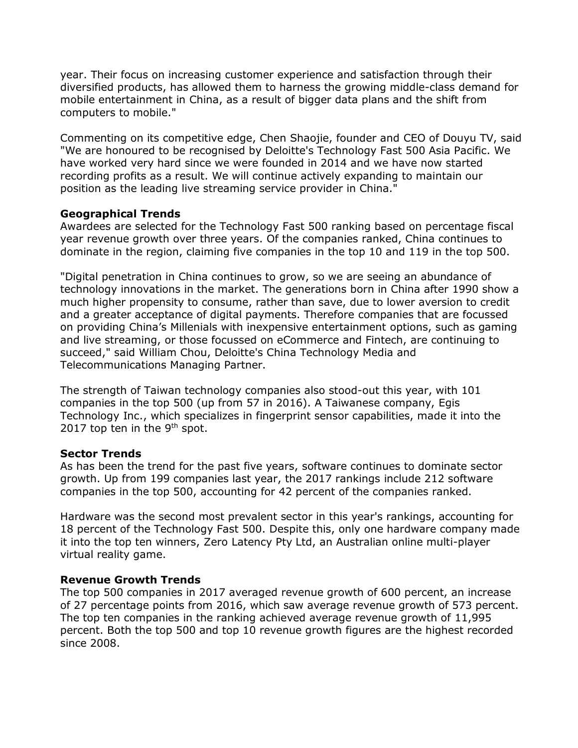year. Their focus on increasing customer experience and satisfaction through their diversified products, has allowed them to harness the growing middle-class demand for mobile entertainment in China, as a result of bigger data plans and the shift from computers to mobile."

Commenting on its competitive edge, Chen Shaojie, founder and CEO of Douyu TV, said "We are honoured to be recognised by Deloitte's Technology Fast 500 Asia Pacific. We have worked very hard since we were founded in 2014 and we have now started recording profits as a result. We will continue actively expanding to maintain our position as the leading live streaming service provider in China."

## **Geographical Trends**

Awardees are selected for the Technology Fast 500 ranking based on percentage fiscal year revenue growth over three years. Of the companies ranked, China continues to dominate in the region, claiming five companies in the top 10 and 119 in the top 500.

"Digital penetration in China continues to grow, so we are seeing an abundance of technology innovations in the market. The generations born in China after 1990 show a much higher propensity to consume, rather than save, due to lower aversion to credit and a greater acceptance of digital payments. Therefore companies that are focussed on providing China's Millenials with inexpensive entertainment options, such as gaming and live streaming, or those focussed on eCommerce and Fintech, are continuing to succeed," said William Chou, Deloitte's China Technology Media and Telecommunications Managing Partner.

The strength of Taiwan technology companies also stood-out this year, with 101 companies in the top 500 (up from 57 in 2016). A Taiwanese company, Egis Technology Inc., which specializes in fingerprint sensor capabilities, made it into the 2017 top ten in the  $9<sup>th</sup>$  spot.

### **Sector Trends**

As has been the trend for the past five years, software continues to dominate sector growth. Up from 199 companies last year, the 2017 rankings include 212 software companies in the top 500, accounting for 42 percent of the companies ranked.

Hardware was the second most prevalent sector in this year's rankings, accounting for 18 percent of the Technology Fast 500. Despite this, only one hardware company made it into the top ten winners, Zero Latency Pty Ltd, an Australian online multi-player virtual reality game.

### **Revenue Growth Trends**

The top 500 companies in 2017 averaged revenue growth of 600 percent, an increase of 27 percentage points from 2016, which saw average revenue growth of 573 percent. The top ten companies in the ranking achieved average revenue growth of 11,995 percent. Both the top 500 and top 10 revenue growth figures are the highest recorded since 2008.